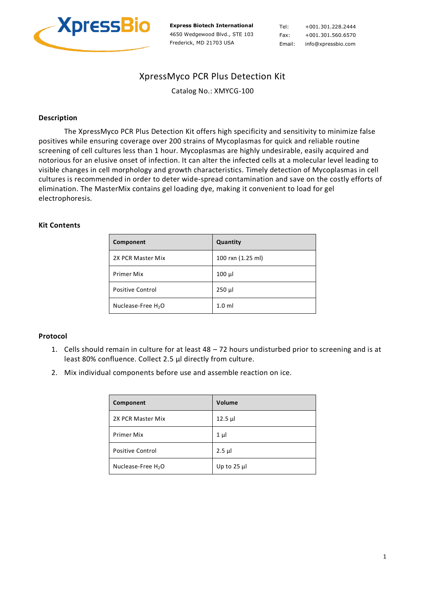

**Express Biotech International** 4650 Wedgewood Blvd., STE 103 Frederick, MD 21703 USA

Tel: +001.301.228.2444 Fax: +001.301.560.6570 Email: info@xpressbio.com

# XpressMyco PCR Plus Detection Kit

Catalog No.: XMYCG-100

## **Description**

The XpressMyco PCR Plus Detection Kit offers high specificity and sensitivity to minimize false positives while ensuring coverage over 200 strains of Mycoplasmas for quick and reliable routine screening of cell cultures less than 1 hour. Mycoplasmas are highly undesirable, easily acquired and notorious for an elusive onset of infection. It can alter the infected cells at a molecular level leading to visible changes in cell morphology and growth characteristics. Timely detection of Mycoplasmas in cell cultures is recommended in order to deter wide-spread contamination and save on the costly efforts of elimination. The MasterMix contains gel loading dye, making it convenient to load for gel electrophoresis.

### **Kit Contents**

| Component                      | Quantity          |
|--------------------------------|-------------------|
| 2X PCR Master Mix              | 100 rxn (1.25 ml) |
| Primer Mix                     | $100 \mu$         |
| <b>Positive Control</b>        | $250$ $\mu$       |
| Nuclease-Free H <sub>2</sub> O | 1.0 <sub>m</sub>  |

### **Protocol**

- 1. Cells should remain in culture for at least 48 72 hours undisturbed prior to screening and is at least 80% confluence. Collect 2.5 µl directly from culture.
- 2. Mix individual components before use and assemble reaction on ice.

| Component                      | Volume         |
|--------------------------------|----------------|
| 2X PCR Master Mix              | $12.5 \mu$     |
| <b>Primer Mix</b>              | $1 \mu$        |
| <b>Positive Control</b>        | $2.5$ µl       |
| Nuclease-Free H <sub>2</sub> O | Up to $25 \mu$ |